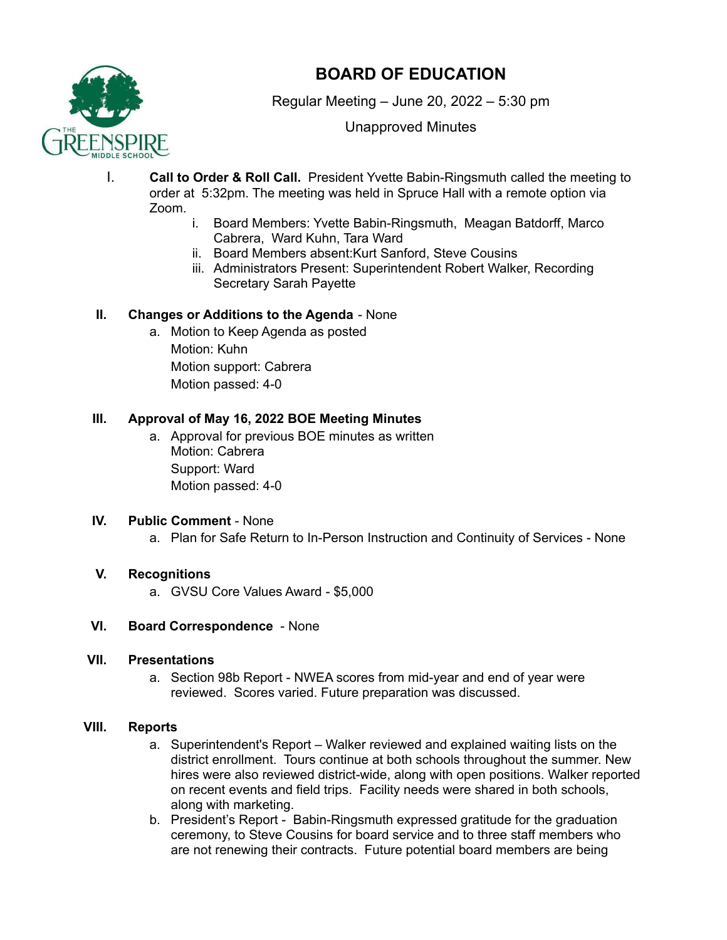

# **BOARD OF EDUCATION**

Regular Meeting – June 20, 2022 – 5:30 pm

Unapproved Minutes

- I. **Call to Order & Roll Call.** President Yvette Babin-Ringsmuth called the meeting to order at 5:32pm. The meeting was held in Spruce Hall with a remote option via Zoom.
	- i. Board Members: Yvette Babin-Ringsmuth, Meagan Batdorff, Marco Cabrera, Ward Kuhn, Tara Ward
	- ii. Board Members absent:Kurt Sanford, Steve Cousins
	- iii. Administrators Present: Superintendent Robert Walker, Recording Secretary Sarah Payette

## **II. Changes or Additions to the Agenda** - None

a. Motion to Keep Agenda as posted Motion: Kuhn Motion support: Cabrera Motion passed: 4-0

# **III. Approval of May 16, 2022 BOE Meeting Minutes**

a. Approval for previous BOE minutes as written Motion: Cabrera Support: Ward Motion passed: 4-0

# **IV. Public Comment** - None

a. Plan for Safe Return to In-Person Instruction and Continuity of Services - None

# **V. Recognitions**

a. GVSU Core Values Award - \$5,000

## **VI. Board Correspondence** - None

## **VII. Presentations**

a. Section 98b Report - NWEA scores from mid-year and end of year were reviewed. Scores varied. Future preparation was discussed.

## **VIII. Reports**

- a. Superintendent's Report Walker reviewed and explained waiting lists on the district enrollment. Tours continue at both schools throughout the summer. New hires were also reviewed district-wide, along with open positions. Walker reported on recent events and field trips. Facility needs were shared in both schools, along with marketing.
- b. President's Report Babin-Ringsmuth expressed gratitude for the graduation ceremony, to Steve Cousins for board service and to three staff members who are not renewing their contracts. Future potential board members are being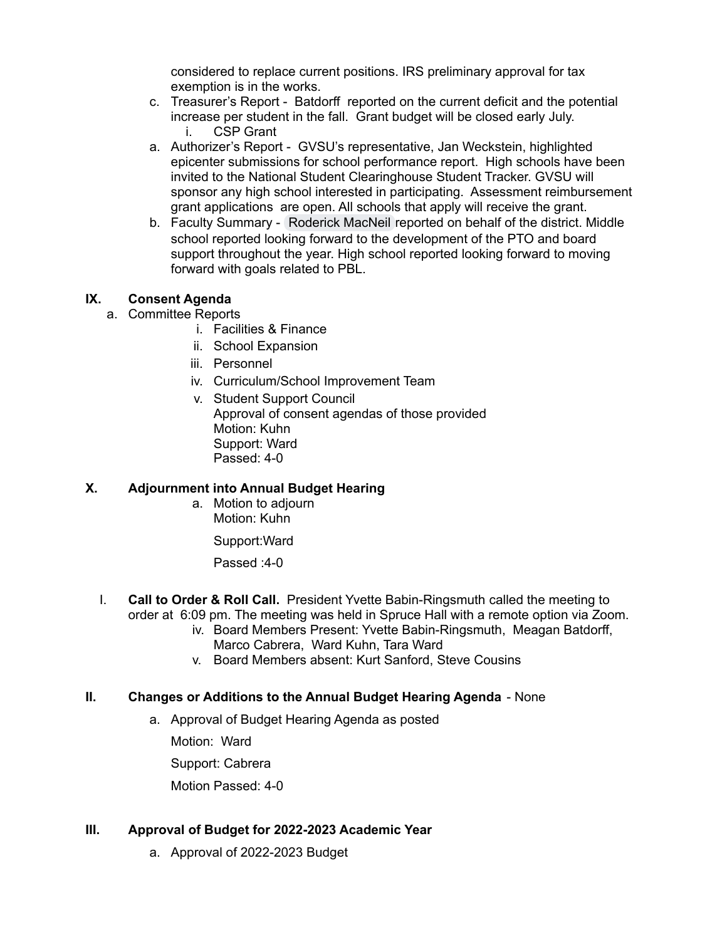considered to replace current positions. IRS preliminary approval for tax exemption is in the works.

- c. Treasurer's Report Batdorff reported on the current deficit and the potential increase per student in the fall. Grant budget will be closed early July. i. CSP Grant
- a. Authorizer's Report GVSU's representative, Jan Weckstein, highlighted epicenter submissions for school performance report. High schools have been invited to the National Student Clearinghouse Student Tracker. GVSU will sponsor any high school interested in participating. Assessment reimbursement grant applications are open. All schools that apply will receive the grant.
- b. Faculty Summary [Roderick](mailto:roderick.macneil@greenspireschool.org) MacNeil reported on behalf of the district. Middle school reported looking forward to the development of the PTO and board support throughout the year. High school reported looking forward to moving forward with goals related to PBL.

#### **IX. Consent Agenda**

- a. Committee Reports
	- i. Facilities & Finance
	- ii. School Expansion
	- iii. Personnel
	- iv. Curriculum/School Improvement Team
	- v. Student Support Council Approval of consent agendas of those provided Motion: Kuhn Support: Ward Passed: 4-0

#### **X. Adjournment into Annual Budget Hearing**

a. Motion to adjourn Motion: Kuhn

Support:Ward

Passed :4-0

- I. **Call to Order & Roll Call.** President Yvette Babin-Ringsmuth called the meeting to order at 6:09 pm. The meeting was held in Spruce Hall with a remote option via Zoom.
	- iv. Board Members Present: Yvette Babin-Ringsmuth, Meagan Batdorff, Marco Cabrera, Ward Kuhn, Tara Ward
		- v. Board Members absent: Kurt Sanford, Steve Cousins

#### **II. Changes or Additions to the Annual Budget Hearing Agenda** - None

a. Approval of Budget Hearing Agenda as posted

Motion: Ward

Support: Cabrera

Motion Passed: 4-0

#### **III. Approval of Budget for 2022-2023 Academic Year**

a. Approval of 2022-2023 Budget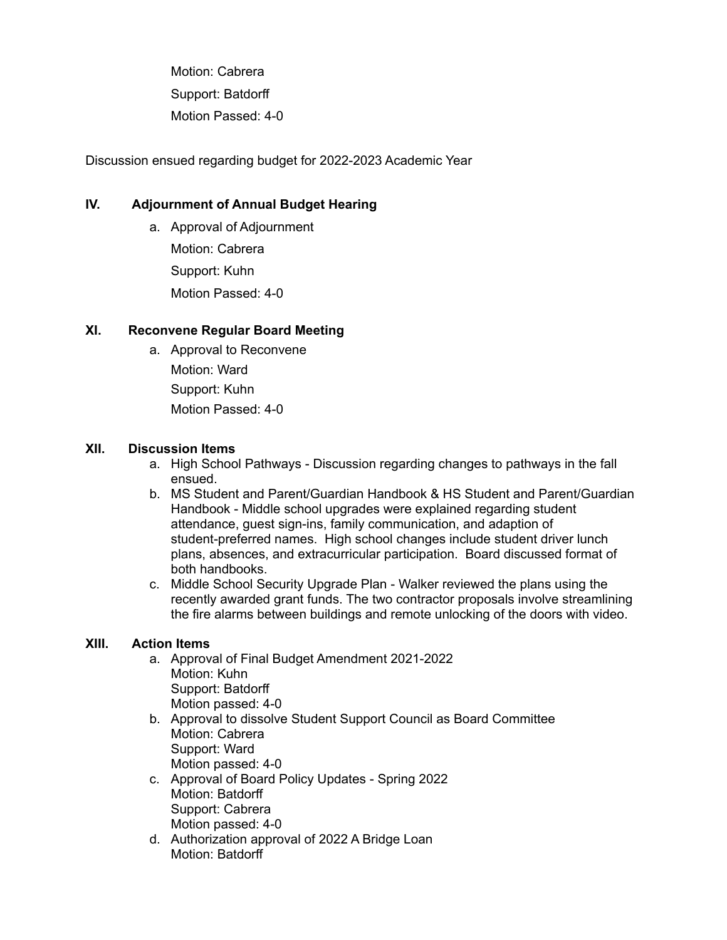Motion: Cabrera Support: Batdorff Motion Passed: 4-0

Discussion ensued regarding budget for 2022-2023 Academic Year

#### **IV. Adjournment of Annual Budget Hearing**

a. Approval of Adjournment Motion: Cabrera Support: Kuhn Motion Passed: 4-0

#### **XI. Reconvene Regular Board Meeting**

a. Approval to Reconvene Motion: Ward

Support: Kuhn Motion Passed: 4-0

#### **XII. Discussion Items**

- a. High School Pathways Discussion regarding changes to pathways in the fall ensued.
- b. MS Student and Parent/Guardian Handbook & HS Student and Parent/Guardian Handbook - Middle school upgrades were explained regarding student attendance, guest sign-ins, family communication, and adaption of student-preferred names. High school changes include student driver lunch plans, absences, and extracurricular participation. Board discussed format of both handbooks.
- c. Middle School Security Upgrade Plan Walker reviewed the plans using the recently awarded grant funds. The two contractor proposals involve streamlining the fire alarms between buildings and remote unlocking of the doors with video.

#### **XIII. Action Items**

- a. Approval of Final Budget Amendment 2021-2022 Motion: Kuhn Support: Batdorff Motion passed: 4-0
- b. Approval to dissolve Student Support Council as Board Committee Motion: Cabrera Support: Ward Motion passed: 4-0
- c. Approval of Board Policy Updates Spring 2022 Motion: Batdorff Support: Cabrera Motion passed: 4-0
- d. Authorization approval of 2022 A Bridge Loan Motion: Batdorff